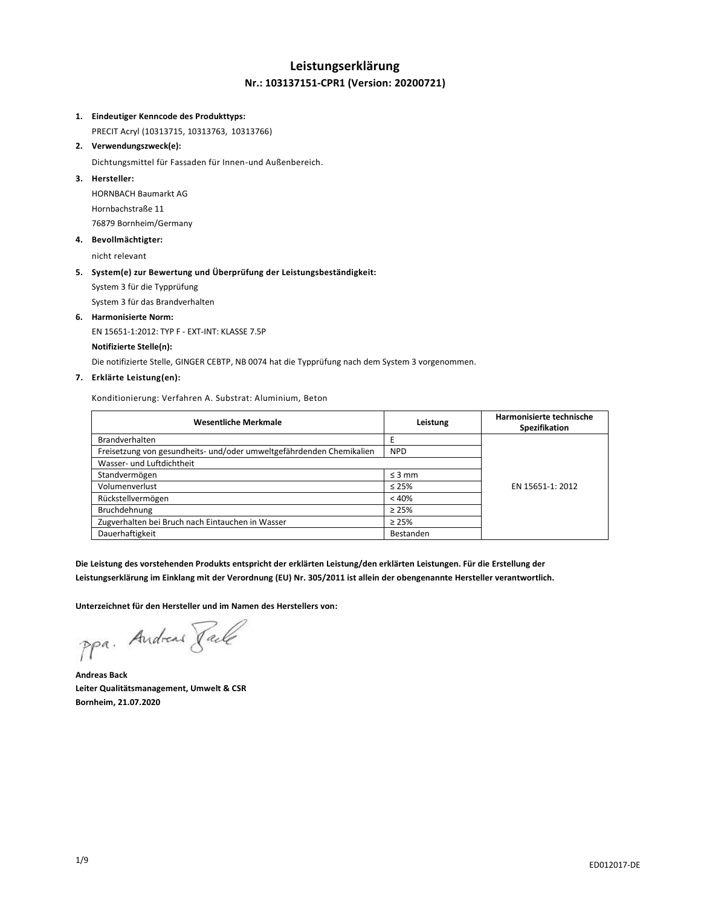## **Leistungserklärung Nr.: 103137151-CPR1 (Version: 20200721)**

#### **1. Eindeutiger Kenncode des Produkttyps:**

PRECIT Acryl (10313715, 10313763, 10313766)

## **2. Verwendungszweck(e):**

Dichtungsmittel für Fassaden für Innen-und Außenbereich.

### **3. Hersteller:**

HORNBACH Baumarkt AG Hornbachstraße 11 76879 Bornheim/Germany

#### **4. Bevollmächtigter:**

nicht relevant

### **5. System(e) zur Bewertung und Überprüfung der Leistungsbeständigkeit:**

System 3 für die Typprüfung

System 3 für das Brandverhalten

#### **6. Harmonisierte Norm:**

EN 15651-1:2012: TYP F - EXT-INT: KLASSE 7.5P

#### **Notifizierte Stelle(n):**

Die notifizierte Stelle, GINGER CEBTP, NB 0074 hat die Typprüfung nach dem System 3 vorgenommen.

#### **7. Erklärte Leistung(en):**

Konditionierung: Verfahren A. Substrat: Aluminium, Beton

| <b>Wesentliche Merkmale</b>                                          | Leistung    | Harmonisierte technische<br>Spezifikation |
|----------------------------------------------------------------------|-------------|-------------------------------------------|
| <b>Brandverhalten</b>                                                |             |                                           |
| Freisetzung von gesundheits- und/oder umweltgefährdenden Chemikalien | <b>NPD</b>  |                                           |
| Wasser- und Luftdichtheit                                            |             |                                           |
| Standvermögen                                                        | $\leq$ 3 mm |                                           |
| Volumenverlust                                                       | $\leq 25\%$ | EN 15651-1: 2012                          |
| Rückstellvermögen                                                    | < 40%       |                                           |
| Bruchdehnung                                                         | $\geq 25\%$ |                                           |
| Zugverhalten bei Bruch nach Eintauchen in Wasser                     | $\geq 25\%$ |                                           |
| Dauerhaftigkeit                                                      | Bestanden   |                                           |

**Die Leistung des vorstehenden Produkts entspricht der erklärten Leistung/den erklärten Leistungen. Für die Erstellung der Leistungserklärung im Einklang mit der Verordnung (EU) Nr. 305/2011 ist allein der obengenannte Hersteller verantwortlich.**

**Unterzeichnet für den Hersteller und im Namen des Herstellers von:**

ppa. Andreas Pale

**Andreas Back Leiter Qualitätsmanagement, Umwelt & CSR Bornheim, 21.07.2020**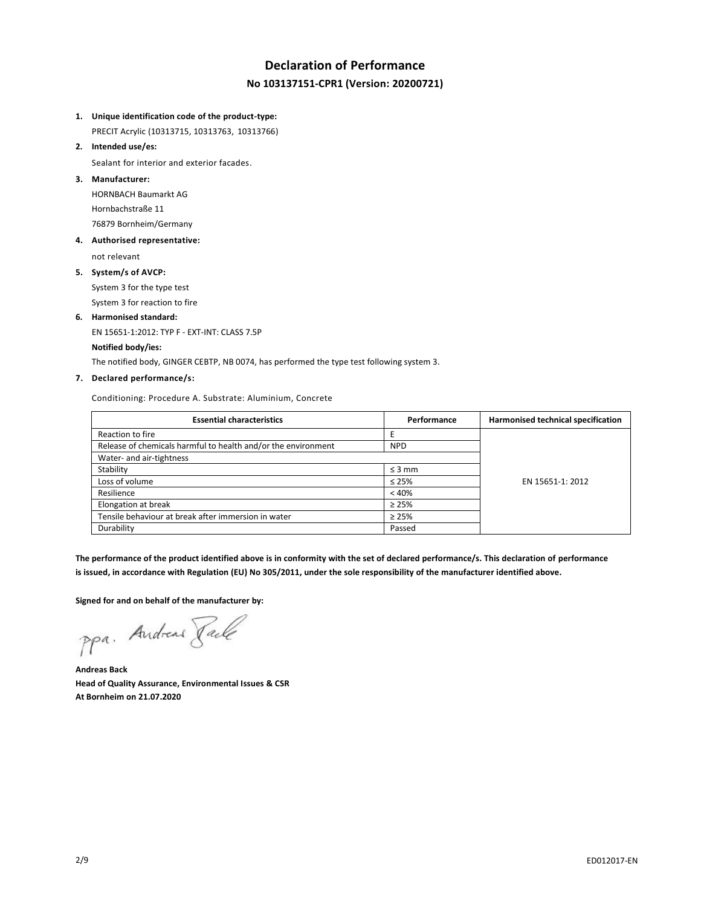## **Declaration of Performance No 103137151-CPR1 (Version: 20200721)**

- **1. Unique identification code of the product-type:**
	- PRECIT Acrylic (10313715, 10313763, 10313766)
- **2. Intended use/es:**

Sealant for interior and exterior facades.

**3. Manufacturer:**

HORNBACH Baumarkt AG Hornbachstraße 11 76879 Bornheim/Germany

**4. Authorised representative:**

not relevant

**5. System/s of AVCP:**

System 3 for the type test System 3 for reaction to fire

**6. Harmonised standard:**

EN 15651-1:2012: TYP F - EXT-INT: CLASS 7.5P

## **Notified body/ies:**

The notified body, GINGER CEBTP, NB 0074, has performed the type test following system 3.

### **7. Declared performance/s:**

Conditioning: Procedure A. Substrate: Aluminium, Concrete

| <b>Essential characteristics</b>                              | Performance | Harmonised technical specification |
|---------------------------------------------------------------|-------------|------------------------------------|
| Reaction to fire                                              |             |                                    |
| Release of chemicals harmful to health and/or the environment | <b>NPD</b>  |                                    |
| Water- and air-tightness                                      |             |                                    |
| Stability                                                     | $\leq$ 3 mm |                                    |
| Loss of volume                                                | $\leq 25\%$ | EN 15651-1: 2012                   |
| Resilience                                                    | < 40%       |                                    |
| Elongation at break                                           | $\geq 25\%$ |                                    |
| Tensile behaviour at break after immersion in water           | $\geq 25\%$ |                                    |
| Durability                                                    | Passed      |                                    |

**The performance of the product identified above is in conformity with the set of declared performance/s. This declaration of performance is issued, in accordance with Regulation (EU) No 305/2011, under the sole responsibility of the manufacturer identified above.**

**Signed for and on behalf of the manufacturer by:**

ppa. Andreas Face

**Andreas Back Head of Quality Assurance, Environmental Issues & CSR At Bornheim on 21.07.2020**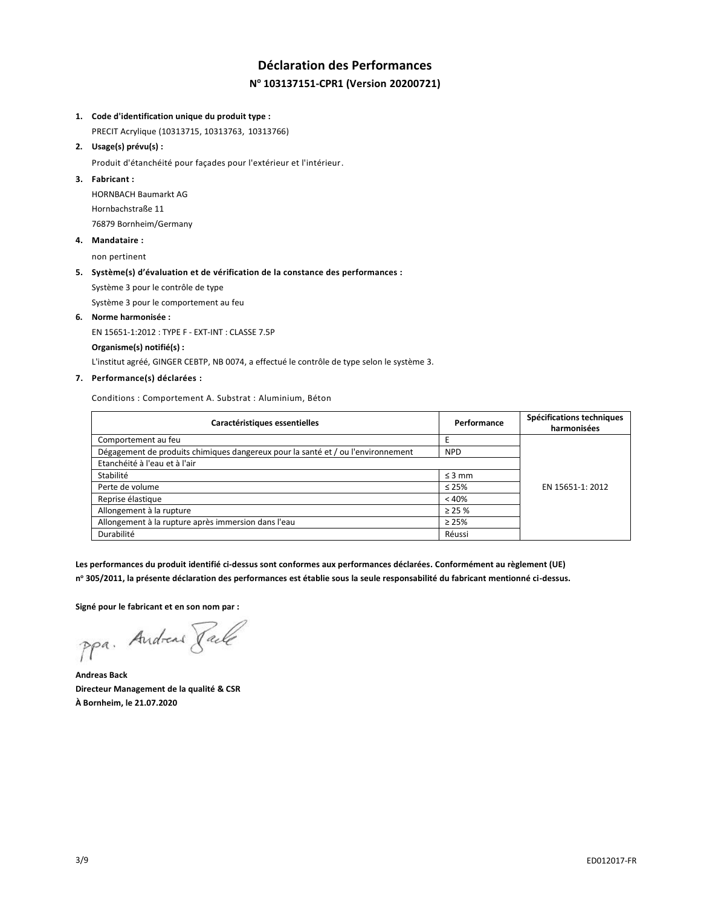# **Déclaration des Performances N <sup>o</sup> 103137151-CPR1 (Version 20200721)**

#### **1. Code d'identification unique du produit type :**

PRECIT Acrylique (10313715, 10313763, 10313766)

#### **2. Usage(s) prévu(s) :**

Produit d'étanchéité pour façades pour l'extérieur et l'intérieur.

#### **3. Fabricant :**

HORNBACH Baumarkt AG Hornbachstraße 11 76879 Bornheim/Germany

#### **4. Mandataire :**

non pertinent

#### **5. Système(s) d'évaluation et de vérification de la constance des performances :**

Système 3 pour le contrôle de type

Système 3 pour le comportement au feu

#### **6. Norme harmonisée :**

EN 15651-1:2012 : TYPE F - EXT-INT : CLASSE 7.5P

#### **Organisme(s) notifié(s) :**

L'institut agréé, GINGER CEBTP, NB 0074, a effectué le contrôle de type selon le système 3.

## **7. Performance(s) déclarées :**

Conditions : Comportement A. Substrat : Aluminium, Béton

| Caractéristiques essentielles                                                    | Performance | Spécifications techniques<br>harmonisées |
|----------------------------------------------------------------------------------|-------------|------------------------------------------|
| Comportement au feu                                                              |             |                                          |
| Dégagement de produits chimiques dangereux pour la santé et / ou l'environnement | <b>NPD</b>  |                                          |
| Etanchéité à l'eau et à l'air                                                    |             |                                          |
| Stabilité                                                                        | $\leq$ 3 mm |                                          |
| Perte de volume                                                                  | $\leq 25\%$ | EN 15651-1: 2012                         |
| Reprise élastique                                                                | < 40%       |                                          |
| Allongement à la rupture                                                         | $\geq$ 25 % |                                          |
| Allongement à la rupture après immersion dans l'eau                              | $\geq 25\%$ |                                          |
| Durabilité                                                                       | Réussi      |                                          |

**Les performances du produit identifié ci-dessus sont conformes aux performances déclarées. Conformément au règlement (UE) n <sup>o</sup> 305/2011, la présente déclaration des performances est établie sous la seule responsabilité du fabricant mentionné ci-dessus.**

**Signé pour le fabricant et en son nom par :**

ppa. Andreas Paule

**Andreas Back Directeur Management de la qualité & CSR À Bornheim, le 21.07.2020**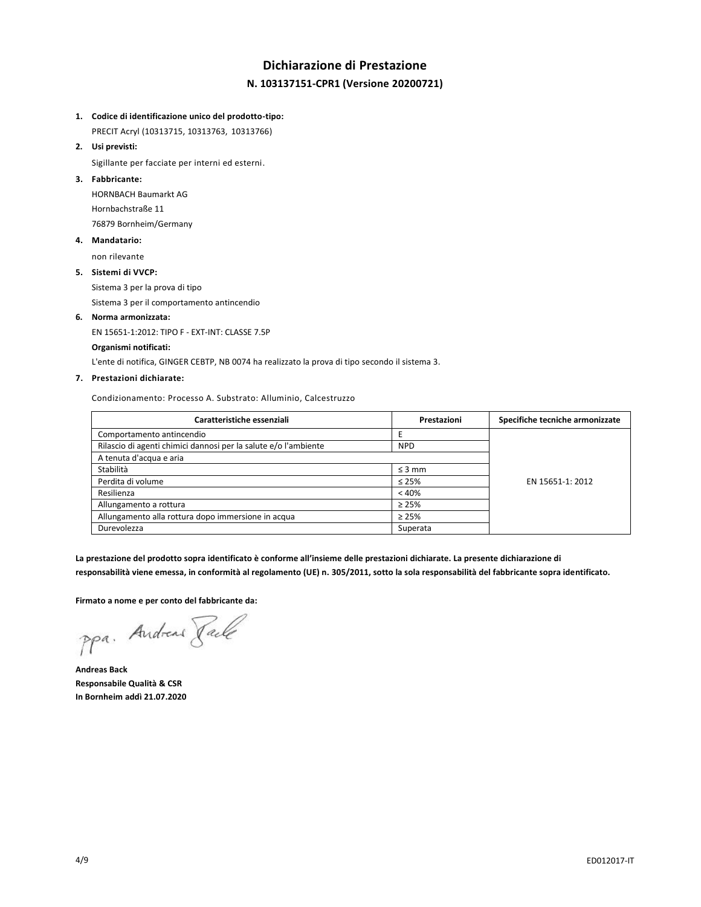## **Dichiarazione di Prestazione N. 103137151-CPR1 (Versione 20200721)**

#### **1. Codice di identificazione unico del prodotto-tipo:**

PRECIT Acryl (10313715, 10313763, 10313766)

**2. Usi previsti:**

Sigillante per facciate per interni ed esterni.

### **3. Fabbricante:**

HORNBACH Baumarkt AG Hornbachstraße 11 76879 Bornheim/Germany

#### **4. Mandatario:**

non rilevante

#### **5. Sistemi di VVCP:**

Sistema 3 per la prova di tipo

Sistema 3 per il comportamento antincendio

#### **6. Norma armonizzata:**

EN 15651-1:2012: TIPO F - EXT-INT: CLASSE 7.5P

#### **Organismi notificati:**

L'ente di notifica, GINGER CEBTP, NB 0074 ha realizzato la prova di tipo secondo il sistema 3.

#### **7. Prestazioni dichiarate:**

Condizionamento: Processo A. Substrato: Alluminio, Calcestruzzo

| Caratteristiche essenziali                                      | Prestazioni | Specifiche tecniche armonizzate |
|-----------------------------------------------------------------|-------------|---------------------------------|
| Comportamento antincendio                                       |             |                                 |
| Rilascio di agenti chimici dannosi per la salute e/o l'ambiente | <b>NPD</b>  |                                 |
| A tenuta d'acqua e aria                                         |             |                                 |
| Stabilità                                                       | $\leq$ 3 mm |                                 |
| Perdita di volume                                               | $\leq 25\%$ | EN 15651-1: 2012                |
| Resilienza                                                      | < 40%       |                                 |
| Allungamento a rottura                                          | $\geq 25\%$ |                                 |
| Allungamento alla rottura dopo immersione in acqua              | $\geq 25\%$ |                                 |
| Durevolezza                                                     | Superata    |                                 |

**La prestazione del prodotto sopra identificato è conforme all'insieme delle prestazioni dichiarate. La presente dichiarazione di responsabilità viene emessa, in conformità al regolamento (UE) n. 305/2011, sotto la sola responsabilità del fabbricante sopra identificato.**

**Firmato a nome e per conto del fabbricante da:**

ppa. Andreas Faile

**Andreas Back Responsabile Qualità & CSR In Bornheim addì 21.07.2020**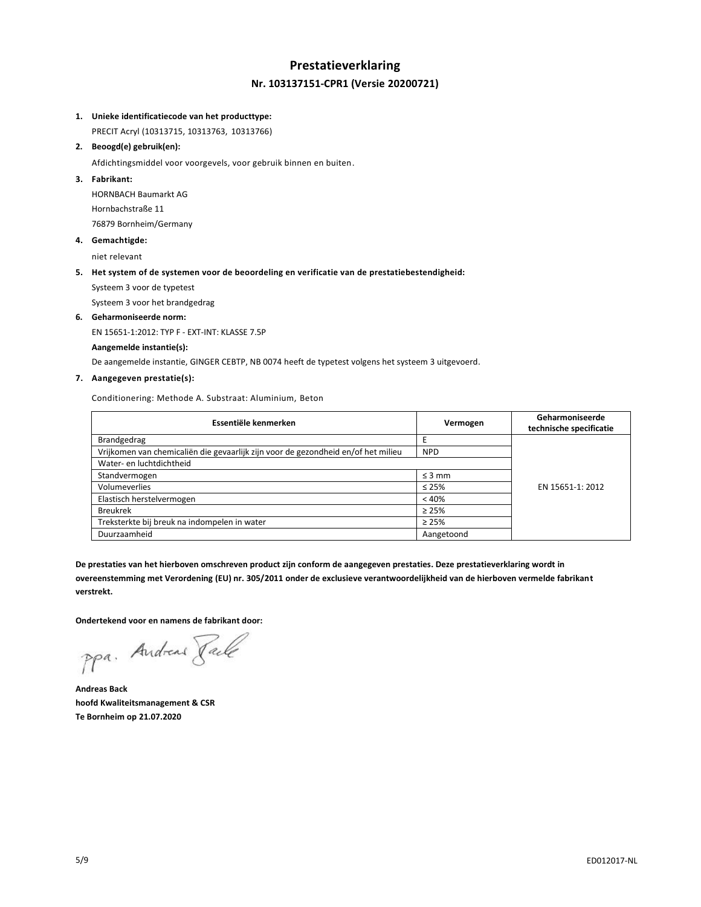## **Prestatieverklaring Nr. 103137151-CPR1 (Versie 20200721)**

#### **1. Unieke identificatiecode van het producttype:**

PRECIT Acryl (10313715, 10313763, 10313766)

**2. Beoogd(e) gebruik(en):**

Afdichtingsmiddel voor voorgevels, voor gebruik binnen en buiten.

### **3. Fabrikant:**

HORNBACH Baumarkt AG Hornbachstraße 11 76879 Bornheim/Germany

**4. Gemachtigde:**

niet relevant

#### **5. Het system of de systemen voor de beoordeling en verificatie van de prestatiebestendigheid:**

Systeem 3 voor de typetest

Systeem 3 voor het brandgedrag

#### **6. Geharmoniseerde norm:**

EN 15651-1:2012: TYP F - EXT-INT: KLASSE 7.5P

#### **Aangemelde instantie(s):**

De aangemelde instantie, GINGER CEBTP, NB 0074 heeft de typetest volgens het systeem 3 uitgevoerd.

#### **7. Aangegeven prestatie(s):**

Conditionering: Methode A. Substraat: Aluminium, Beton

| Essentiële kenmerken                                                              | Vermogen    | Geharmoniseerde<br>technische specificatie |
|-----------------------------------------------------------------------------------|-------------|--------------------------------------------|
| Brandgedrag                                                                       |             |                                            |
| Vrijkomen van chemicaliën die gevaarlijk zijn voor de gezondheid en/of het milieu | <b>NPD</b>  |                                            |
| Water- en luchtdichtheid                                                          |             |                                            |
| Standvermogen                                                                     | $\leq$ 3 mm |                                            |
| Volumeverlies                                                                     | $\leq 25\%$ | EN 15651-1: 2012                           |
| Elastisch herstelvermogen                                                         | < 40%       |                                            |
| <b>Breukrek</b>                                                                   | $\geq 25\%$ |                                            |
| Treksterkte bij breuk na indompelen in water                                      | $\geq 25\%$ |                                            |
| Duurzaamheid                                                                      | Aangetoond  |                                            |

**De prestaties van het hierboven omschreven product zijn conform de aangegeven prestaties. Deze prestatieverklaring wordt in overeenstemming met Verordening (EU) nr. 305/2011 onder de exclusieve verantwoordelijkheid van de hierboven vermelde fabrikant verstrekt.**

**Ondertekend voor en namens de fabrikant door:**

ppa. Andreas Face

**Andreas Back hoofd Kwaliteitsmanagement & CSR Te Bornheim op 21.07.2020**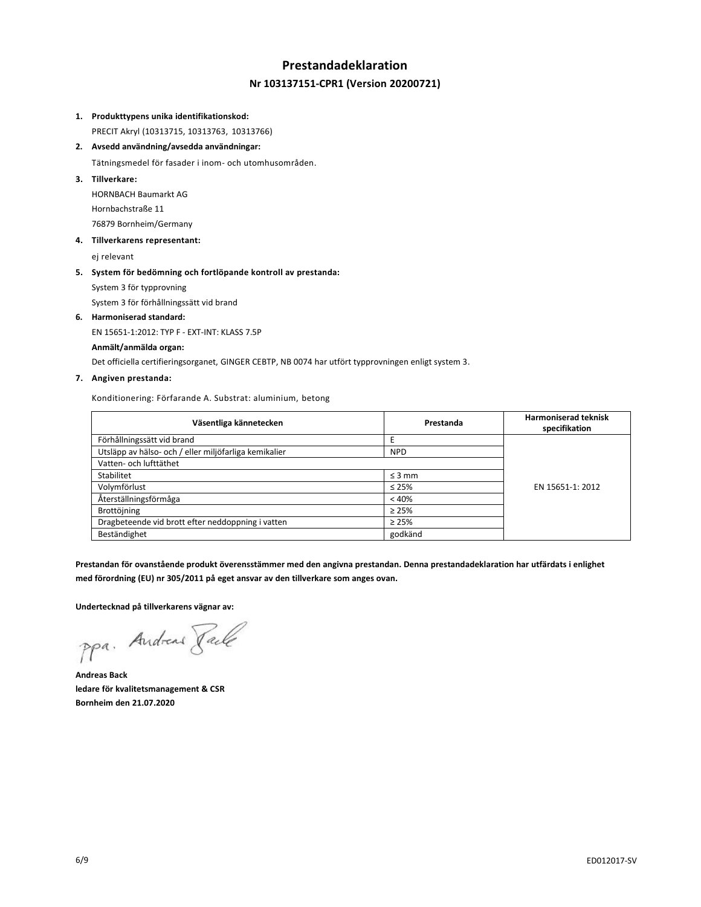## **Prestandadeklaration Nr 103137151-CPR1 (Version 20200721)**

#### **1. Produkttypens unika identifikationskod:**

PRECIT Akryl (10313715, 10313763, 10313766)

**2. Avsedd användning/avsedda användningar:**

Tätningsmedel för fasader i inom- och utomhusområden.

**3. Tillverkare:**

HORNBACH Baumarkt AG Hornbachstraße 11 76879 Bornheim/Germany

**4. Tillverkarens representant:**

ej relevant

## **5. System för bedömning och fortlöpande kontroll av prestanda:**

System 3 för typprovning

System 3 för förhållningssätt vid brand

#### **6. Harmoniserad standard:**

EN 15651-1:2012: TYP F - EXT-INT: KLASS 7.5P

#### **Anmält/anmälda organ:**

Det officiella certifieringsorganet, GINGER CEBTP, NB 0074 har utfört typprovningen enligt system 3.

## **7. Angiven prestanda:**

Konditionering: Förfarande A. Substrat: aluminium, betong

| Väsentliga kännetecken                                | Prestanda   | <b>Harmoniserad teknisk</b><br>specifikation |
|-------------------------------------------------------|-------------|----------------------------------------------|
| Förhållningssätt vid brand                            |             |                                              |
| Utsläpp av hälso- och / eller miljöfarliga kemikalier | <b>NPD</b>  |                                              |
| Vatten- och lufttäthet                                |             |                                              |
| Stabilitet                                            | $\leq$ 3 mm |                                              |
| Volymförlust                                          | $\leq 25\%$ | EN 15651-1: 2012                             |
| Återställningsförmåga                                 | < 40%       |                                              |
| Brottöjning                                           | $\geq 25\%$ |                                              |
| Dragbeteende vid brott efter neddoppning i vatten     | $\geq 25\%$ |                                              |
| Beständighet                                          | godkänd     |                                              |

**Prestandan för ovanstående produkt överensstämmer med den angivna prestandan. Denna prestandadeklaration har utfärdats i enlighet med förordning (EU) nr 305/2011 på eget ansvar av den tillverkare som anges ovan.**

**Undertecknad på tillverkarens vägnar av:**

ppa. Andreas Face

**Andreas Back ledare för kvalitetsmanagement & CSR Bornheim den 21.07.2020**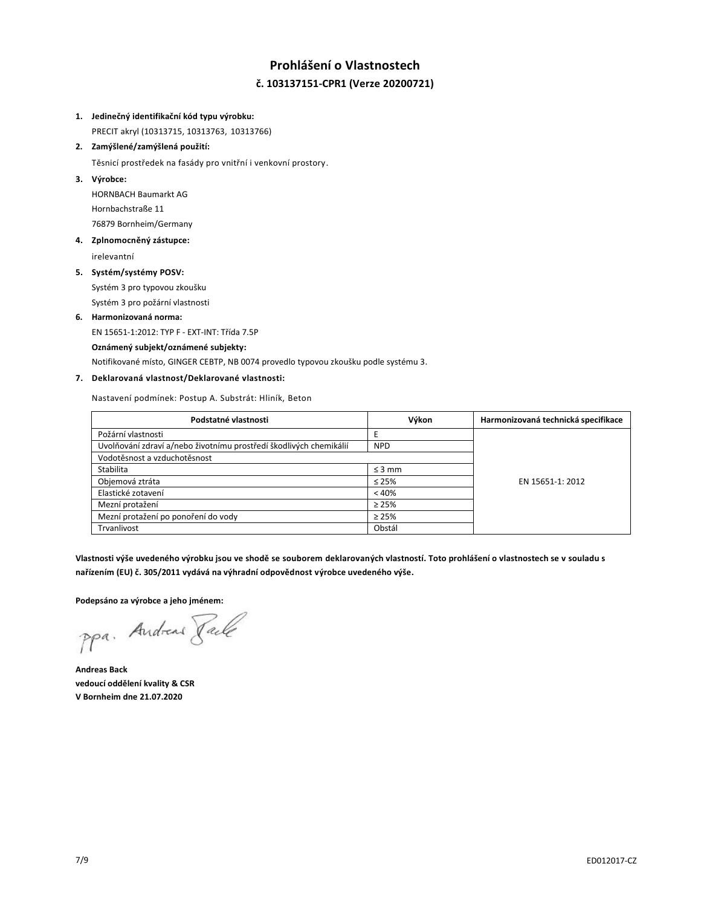## **Prohlášení o Vlastnostech č. 103137151-CPR1 (Verze 20200721)**

#### **1. Jedinečný identifikační kód typu výrobku:**

PRECIT akryl (10313715, 10313763, 10313766)

## **2. Zamýšlené/zamýšlená použití:**

Těsnicí prostředek na fasády pro vnitřní i venkovní prostory.

### **3. Výrobce:**

HORNBACH Baumarkt AG Hornbachstraße 11 76879 Bornheim/Germany

## **4. Zplnomocněný zástupce:**

irelevantní

#### **5. Systém/systémy POSV:**

Systém 3 pro typovou zkoušku Systém 3 pro požární vlastnosti

## **6. Harmonizovaná norma:**

EN 15651-1:2012: TYP F - EXT-INT: Třída 7.5P

#### **Oznámený subjekt/oznámené subjekty:**

Notifikované místo, GINGER CEBTP, NB 0074 provedlo typovou zkoušku podle systému 3.

## **7. Deklarovaná vlastnost/Deklarované vlastnosti:**

Nastavení podmínek: Postup A. Substrát: Hliník, Beton

| Podstatné vlastnosti                                               | Výkon       | Harmonizovaná technická specifikace |
|--------------------------------------------------------------------|-------------|-------------------------------------|
| Požární vlastnosti                                                 |             |                                     |
| Uvolňování zdraví a/nebo životnímu prostředí škodlivých chemikálií | <b>NPD</b>  |                                     |
| Vodotěsnost a vzduchotěsnost                                       |             |                                     |
| Stabilita                                                          | $\leq$ 3 mm |                                     |
| Objemová ztráta                                                    | $\leq 25\%$ | EN 15651-1: 2012                    |
| Elastické zotavení                                                 | < 40%       |                                     |
| Mezní protažení                                                    | $\geq 25\%$ |                                     |
| Mezní protažení po ponoření do vody                                | $\geq 25\%$ |                                     |
| Trvanlivost                                                        | Obstál      |                                     |

**Vlastnosti výše uvedeného výrobku jsou ve shodě se souborem deklarovaných vlastností. Toto prohlášení o vlastnostech se v souladu s nařízením (EU) č. 305/2011 vydává na výhradní odpovědnost výrobce uvedeného výše.**

**Podepsáno za výrobce a jeho jménem:**

ppa. Andreas Face

**Andreas Back vedoucí oddělení kvality & CSR V Bornheim dne 21.07.2020**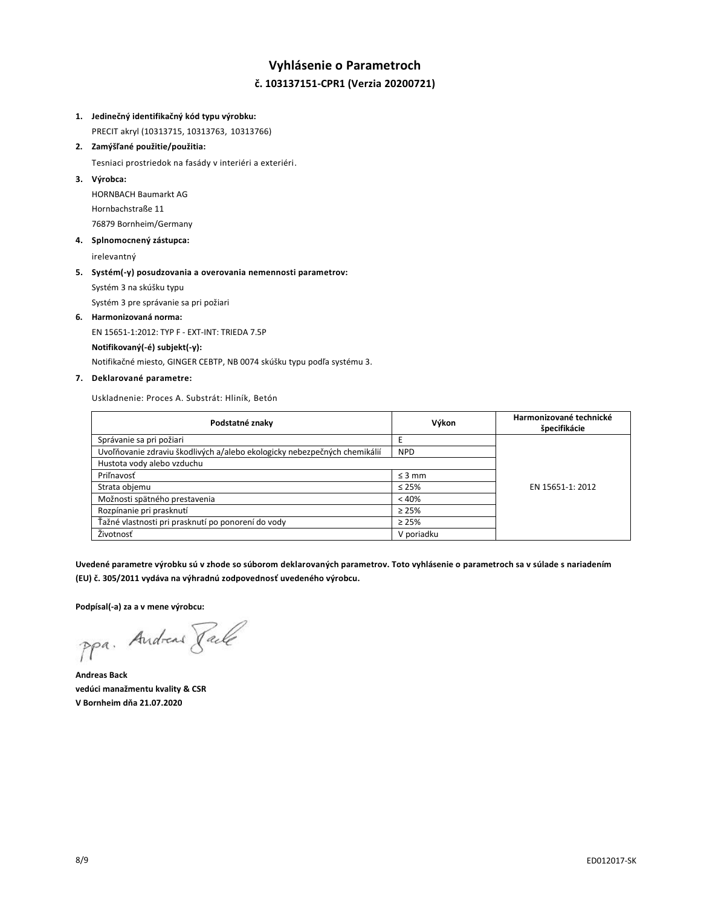# **Vyhlásenie o Parametroch č. 103137151-CPR1 (Verzia 20200721)**

## **1. Jedinečný identifikačný kód typu výrobku:**

PRECIT akryl (10313715, 10313763, 10313766)

### **2. Zamýšľané použitie/použitia:**

Tesniaci prostriedok na fasády v interiéri a exteriéri.

## **3. Výrobca:**

HORNBACH Baumarkt AG Hornbachstraße 11 76879 Bornheim/Germany

#### **4. Splnomocnený zástupca:**

irelevantný

## **5. Systém(-y) posudzovania a overovania nemennosti parametrov:** Systém 3 na skúšku typu

Systém 3 pre správanie sa pri požiari

#### **6. Harmonizovaná norma:**

EN 15651-1:2012: TYP F - EXT-INT: TRIEDA 7.5P

#### **Notifikovaný(-é) subjekt(-y):**

Notifikačné miesto, GINGER CEBTP, NB 0074 skúšku typu podľa systému 3.

## **7. Deklarované parametre:**

Uskladnenie: Proces A. Substrát: Hliník, Betón

| Podstatné znaky                                                           | Výkon       | Harmonizované technické<br>špecifikácie |
|---------------------------------------------------------------------------|-------------|-----------------------------------------|
| Správanie sa pri požiari                                                  |             |                                         |
| Uvoľňovanie zdraviu škodlivých a/alebo ekologicky nebezpečných chemikálií | <b>NPD</b>  |                                         |
| Hustota vody alebo vzduchu                                                |             |                                         |
| Priľnavosť                                                                | $\leq$ 3 mm |                                         |
| Strata objemu                                                             | $\leq 25\%$ | EN 15651-1: 2012                        |
| Možnosti spätného prestavenia                                             | < 40%       |                                         |
| Rozpínanie pri prasknutí                                                  | $\geq 25\%$ |                                         |
| Ťažné vlastnosti pri prasknutí po ponorení do vody                        | $\geq 25\%$ |                                         |
| Životnosť                                                                 | V poriadku  |                                         |

**Uvedené parametre výrobku sú v zhode so súborom deklarovaných parametrov. Toto vyhlásenie o parametroch sa v súlade s nariadením (EU) č. 305/2011 vydáva na výhradnú zodpovednosť uvedeného výrobcu.**

**Podpísal(-a) za a v mene výrobcu:**

ppa. Andreas Face

**Andreas Back vedúci manažmentu kvality & CSR V Bornheim dňa 21.07.2020**